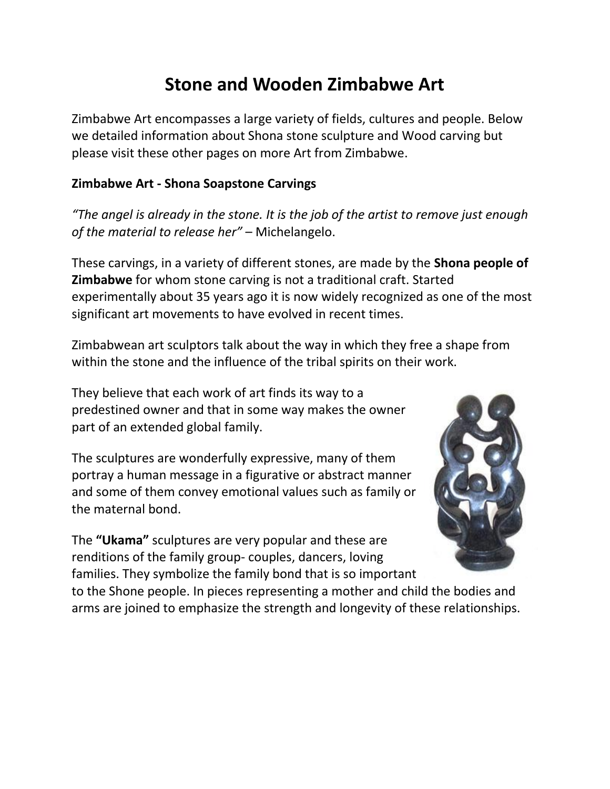# **Stone and Wooden Zimbabwe Art**

Zimbabwe Art encompasses a large variety of fields, cultures and people. Below we detailed information about Shona stone sculpture and [Wood carving](http://www.victoriafalls-guide.net/zimbabwe-art.html#wood carving) but please visit these other pages on more [Art from Zimbabwe.](http://www.victoriafalls-guide.net/art-from-zimbabwe.html)

# **Zimbabwe Art - Shona Soapstone Carvings**

"The angel is already in the stone. It is the job of the artist to remove just enough *of the material to release her"* – Michelangelo.

These carvings, in a variety of different stones, are made by the **Shona people of Zimbabwe** for whom stone carving is not a traditional craft. Started experimentally about 35 years ago it is now widely recognized as one of the most significant art movements to have evolved in recent times.

Zimbabwean art sculptors talk about the way in which they free a shape from within the stone and the influence of the tribal spirits on their work.

They believe that each work of art finds its way to a predestined owner and that in some way makes the owner part of an extended global family.

The sculptures are wonderfully expressive, many of them portray a human message in a figurative or abstract manner and some of them convey emotional values such as family or the maternal bond.

The **"Ukama"** sculptures are very popular and these are renditions of the family group- couples, dancers, loving families. They symbolize the family bond that is so important



to the Shone people. In pieces representing a mother and child the bodies and arms are joined to emphasize the strength and longevity of these relationships.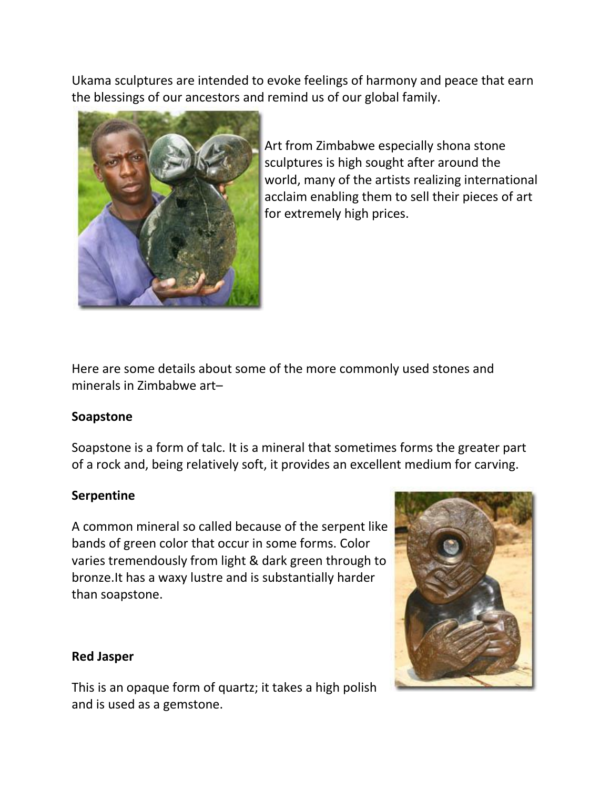Ukama sculptures are intended to evoke feelings of harmony and peace that earn the blessings of our ancestors and remind us of our global family.



Art from Zimbabwe especially shona stone sculptures is high sought after around the world, many of the artists realizing international acclaim enabling them to sell their pieces of art for extremely high prices.

Here are some details about some of the more commonly used stones and minerals in Zimbabwe art–

## **Soapstone**

Soapstone is a form of talc. It is a mineral that sometimes forms the greater part of a rock and, being relatively soft, it provides an excellent medium for carving.

# **Serpentine**

A common mineral so called because of the serpent like bands of green color that occur in some forms. Color varies tremendously from light & dark green through to bronze.It has a waxy lustre and is substantially harder than soapstone.

## **Red Jasper**

This is an opaque form of quartz; it takes a high polish and is used as a gemstone.

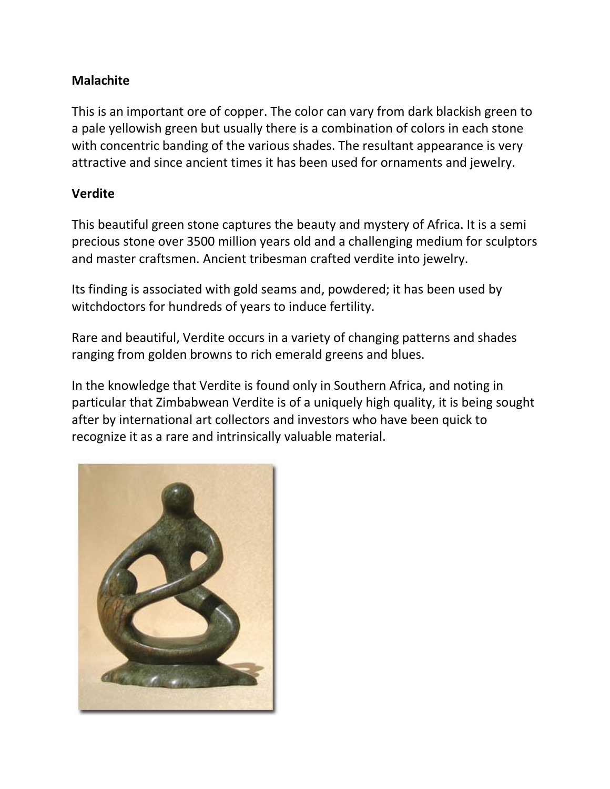# **Malachite**

This is an important ore of copper. The color can vary from dark blackish green to a pale yellowish green but usually there is a combination of colors in each stone with concentric banding of the various shades. The resultant appearance is very attractive and since ancient times it has been used for ornaments and jewelry.

### **Verdite**

This beautiful green stone captures the beauty and mystery of Africa. It is a semi precious stone over 3500 million years old and a challenging medium for sculptors and master craftsmen. Ancient tribesman crafted verdite into jewelry.

Its finding is associated with gold seams and, powdered; it has been used by witchdoctors for hundreds of years to induce fertility.

Rare and beautiful, Verdite occurs in a variety of changing patterns and shades ranging from golden browns to rich emerald greens and blues.

In the knowledge that Verdite is found only in Southern Africa, and noting in particular that Zimbabwean Verdite is of a uniquely high quality, it is being sought after by international art collectors and investors who have been quick to recognize it as a rare and intrinsically valuable material.

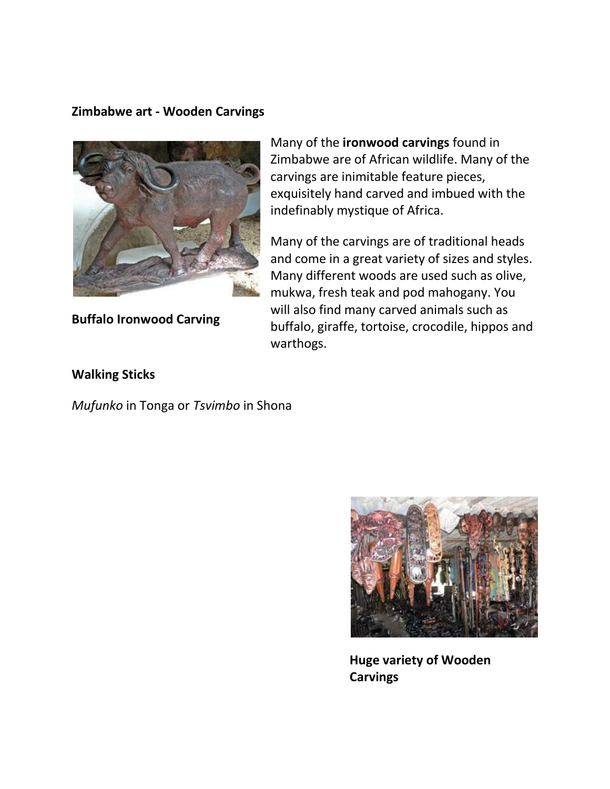#### **Zimbabwe art - Wooden Carvings**



**Buffalo Ironwood Carving**

Many of the **ironwood carvings** found in Zimbabwe are of African wildlife. Many of the carvings are inimitable feature pieces, exquisitely hand carved and imbued with the indefinably mystique of Africa.

Many of the carvings are of traditional heads and come in a great variety of sizes and styles. Many different woods are used such as olive, mukwa, fresh teak and pod mahogany. You will also find many carved animals such as buffalo, giraffe, tortoise, crocodile, hippos and warthogs.

#### **Walking Sticks**

*Mufunko* in Tonga or *Tsvimbo* in Shona



**Huge variety of Wooden Carvings**